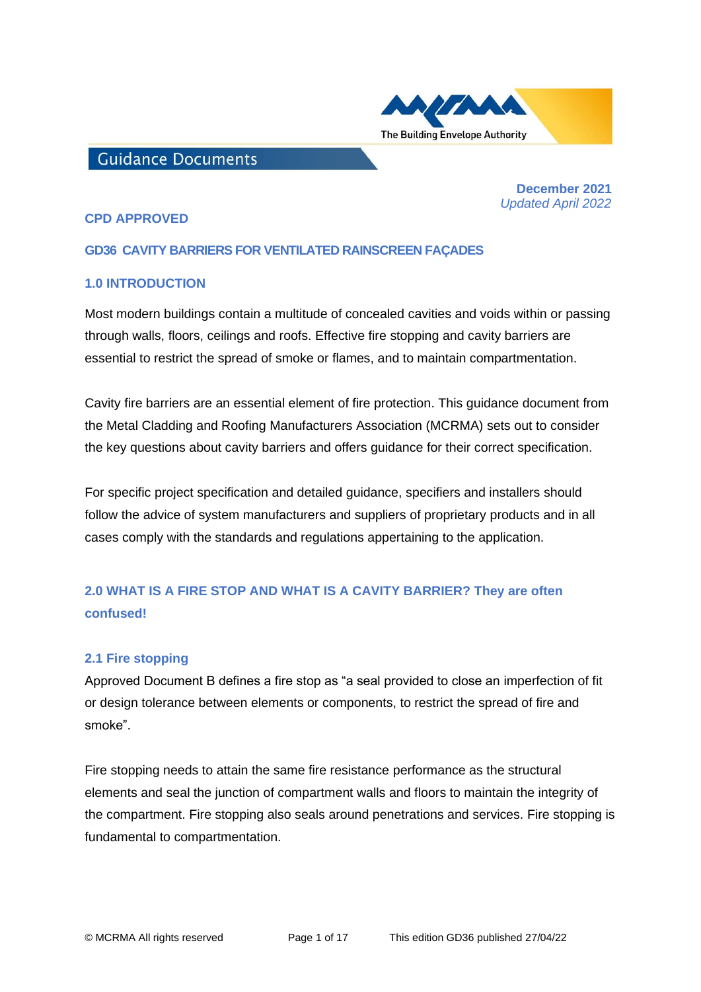

## **Guidance Documents**

 **December 2021**   *Updated April 2022*

### **CPD APPROVED**

## **GD36 CAVITY BARRIERS FOR VENTILATED RAINSCREEN FAÇADES**

### **1.0 INTRODUCTION**

Most modern buildings contain a multitude of concealed cavities and voids within or passing through walls, floors, ceilings and roofs. Effective fire stopping and cavity barriers are essential to restrict the spread of smoke or flames, and to maintain compartmentation.

Cavity fire barriers are an essential element of fire protection. This guidance document from the Metal Cladding and Roofing Manufacturers Association (MCRMA) sets out to consider the key questions about cavity barriers and offers guidance for their correct specification.

For specific project specification and detailed guidance, specifiers and installers should follow the advice of system manufacturers and suppliers of proprietary products and in all cases comply with the standards and regulations appertaining to the application.

# **2.0 WHAT IS A FIRE STOP AND WHAT IS A CAVITY BARRIER? They are often confused!**

### **2.1 Fire stopping**

Approved Document B defines a fire stop as "a seal provided to close an imperfection of fit or design tolerance between elements or components, to restrict the spread of fire and smoke".

Fire stopping needs to attain the same fire resistance performance as the structural elements and seal the junction of compartment walls and floors to maintain the integrity of the compartment. Fire stopping also seals around penetrations and services. Fire stopping is fundamental to compartmentation.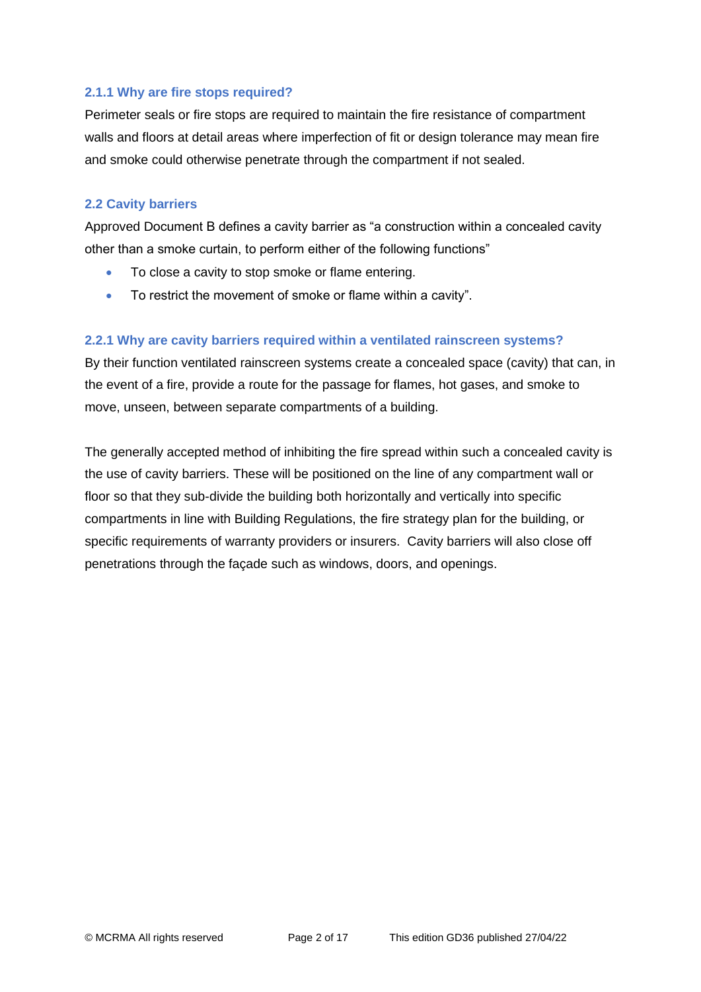### **2.1.1 Why are fire stops required?**

Perimeter seals or fire stops are required to maintain the fire resistance of compartment walls and floors at detail areas where imperfection of fit or design tolerance may mean fire and smoke could otherwise penetrate through the compartment if not sealed.

### **2.2 Cavity barriers**

Approved Document B defines a cavity barrier as "a construction within a concealed cavity other than a smoke curtain, to perform either of the following functions"

- To close a cavity to stop smoke or flame entering.
- To restrict the movement of smoke or flame within a cavity".

## **2.2.1 Why are cavity barriers required within a ventilated rainscreen systems?**

By their function ventilated rainscreen systems create a concealed space (cavity) that can, in the event of a fire, provide a route for the passage for flames, hot gases, and smoke to move, unseen, between separate compartments of a building.

The generally accepted method of inhibiting the fire spread within such a concealed cavity is the use of cavity barriers. These will be positioned on the line of any compartment wall or floor so that they sub-divide the building both horizontally and vertically into specific compartments in line with Building Regulations, the fire strategy plan for the building, or specific requirements of warranty providers or insurers. Cavity barriers will also close off penetrations through the façade such as windows, doors, and openings.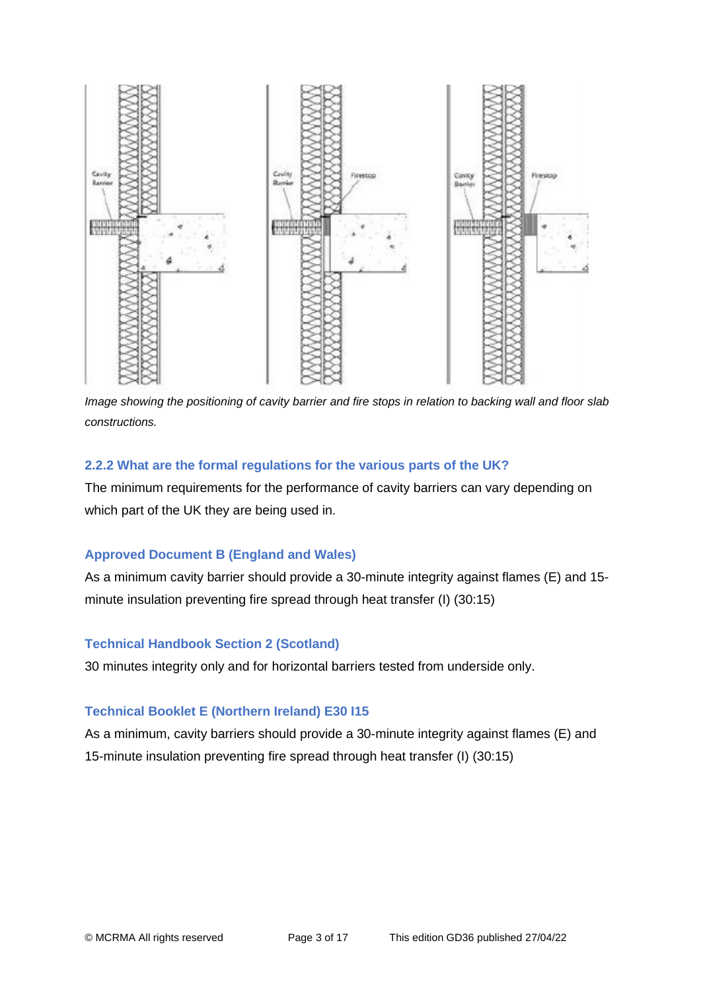

*Image showing the positioning of cavity barrier and fire stops in relation to backing wall and floor slab constructions.*

### **2.2.2 What are the formal regulations for the various parts of the UK?**

The minimum requirements for the performance of cavity barriers can vary depending on which part of the UK they are being used in.

### **Approved Document B (England and Wales)**

As a minimum cavity barrier should provide a 30-minute integrity against flames (E) and 15 minute insulation preventing fire spread through heat transfer (I) (30:15)

### **Technical Handbook Section 2 (Scotland)**

30 minutes integrity only and for horizontal barriers tested from underside only.

### **Technical Booklet E (Northern Ireland) E30 I15**

As a minimum, cavity barriers should provide a 30-minute integrity against flames (E) and 15-minute insulation preventing fire spread through heat transfer (I) (30:15)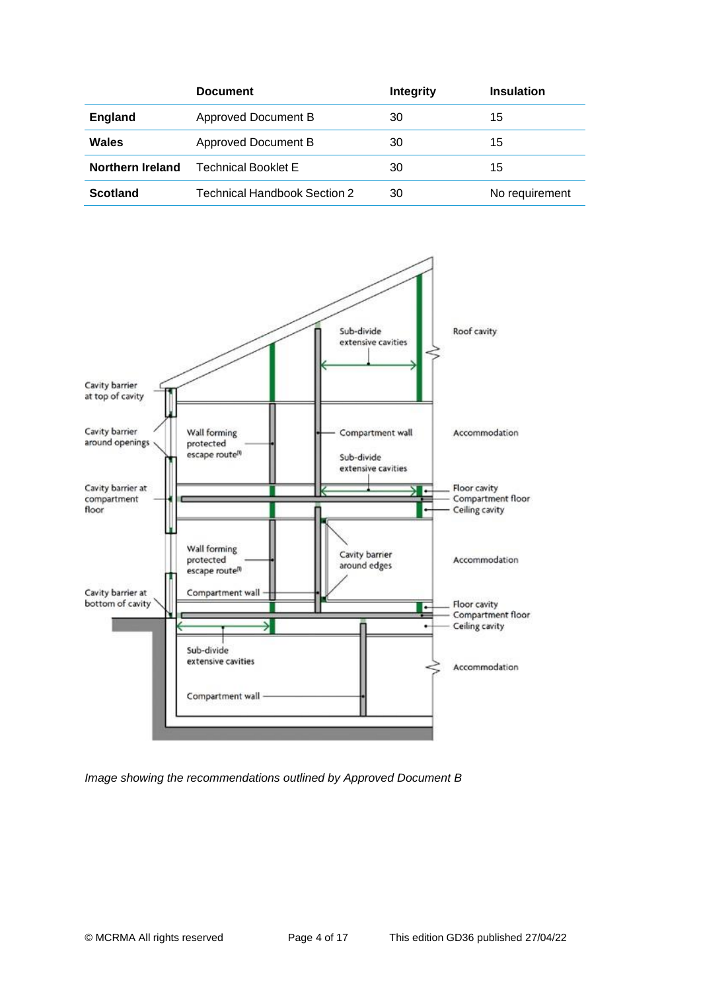|                  | <b>Document</b>              | Integrity | <b>Insulation</b> |
|------------------|------------------------------|-----------|-------------------|
| <b>England</b>   | Approved Document B          | 30        | 15                |
| Wales            | Approved Document B          | 30        | 15                |
| Northern Ireland | <b>Technical Booklet E</b>   | 30        | 15                |
| <b>Scotland</b>  | Technical Handbook Section 2 | 30        | No requirement    |



*Image showing the recommendations outlined by Approved Document B*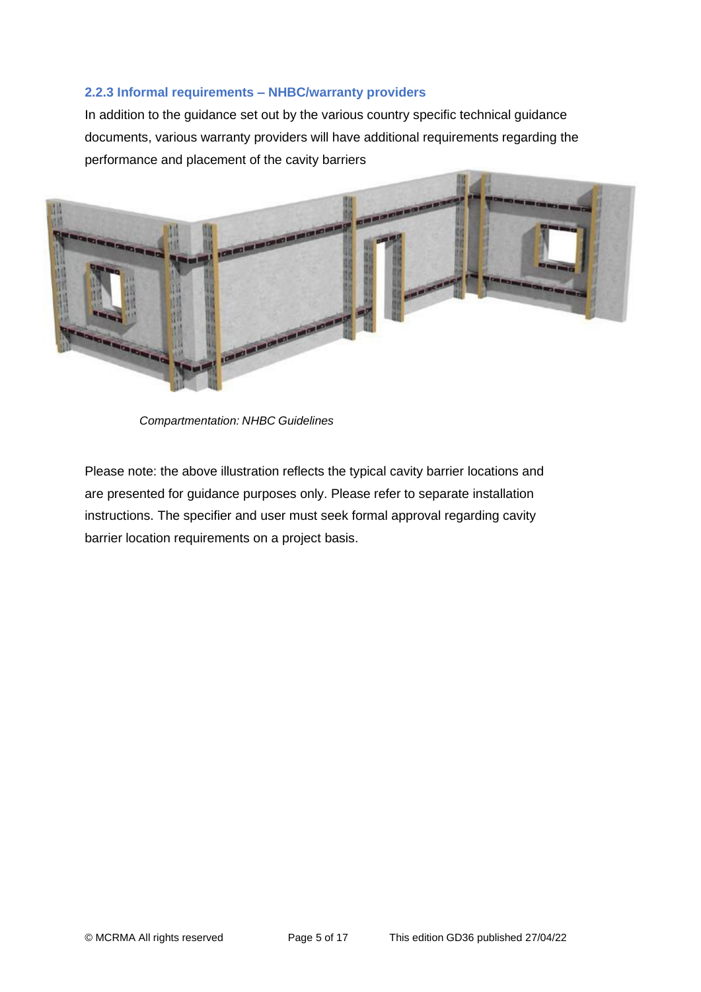### **2.2.3 Informal requirements – NHBC/warranty providers**

In addition to the guidance set out by the various country specific technical guidance documents, various warranty providers will have additional requirements regarding the performance and placement of the cavity barriers



*Compartmentation: NHBC Guidelines*

Please note: the above illustration reflects the typical cavity barrier locations and are presented for guidance purposes only. Please refer to separate installation instructions. The specifier and user must seek formal approval regarding cavity barrier location requirements on a project basis.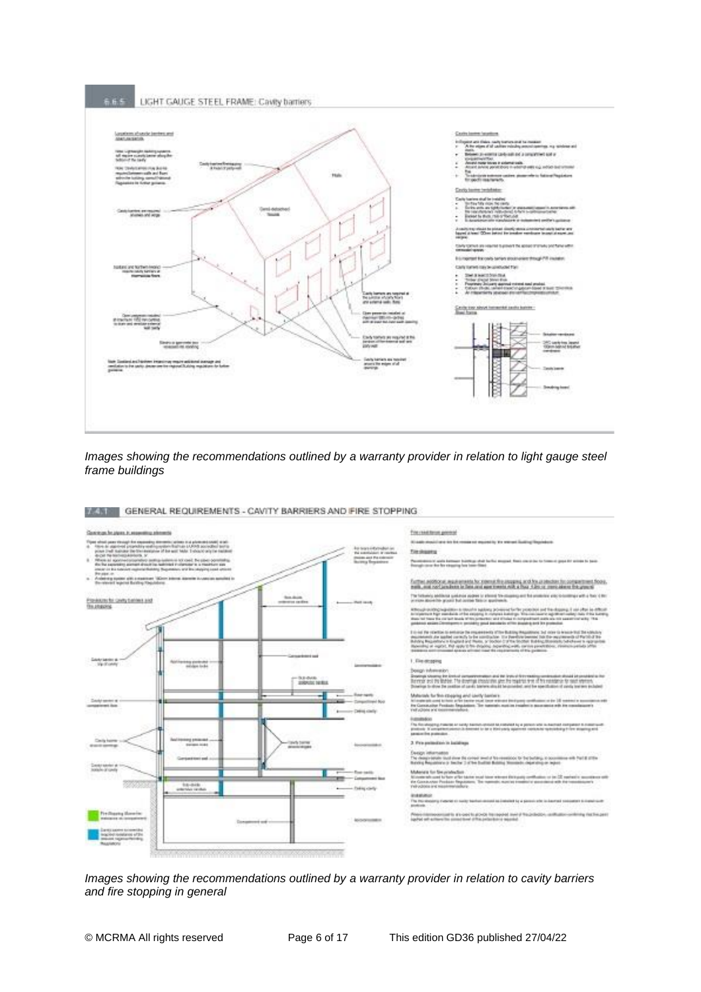#### 6.6.5 LIGHT GAUGE STEEL FRAME: Cavity barriers



*Images showing the recommendations outlined by a warranty provider in relation to light gauge steel frame buildings*



**MANIFESTOPPING** GENERAL REQUIREMENTS - CAVITY BARRIERS AND FIRE STOPPING

*Images showing the recommendations outlined by a warranty provider in relation to cavity barriers and fire stopping in general*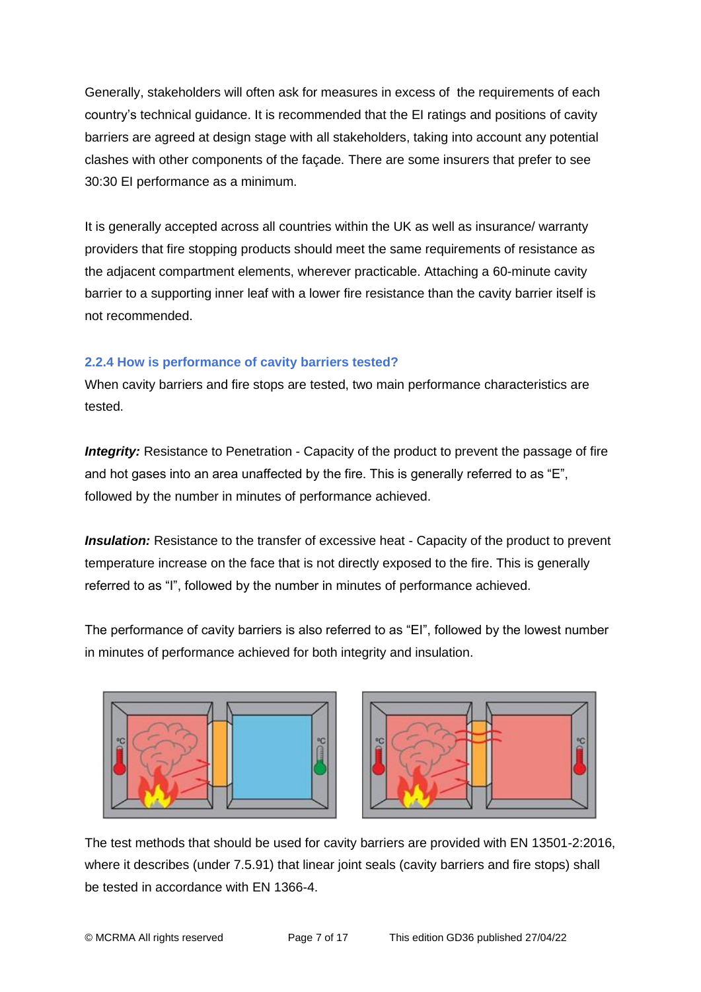Generally, stakeholders will often ask for measures in excess of the requirements of each country's technical guidance. It is recommended that the EI ratings and positions of cavity barriers are agreed at design stage with all stakeholders, taking into account any potential clashes with other components of the façade. There are some insurers that prefer to see 30:30 EI performance as a minimum.

It is generally accepted across all countries within the UK as well as insurance/ warranty providers that fire stopping products should meet the same requirements of resistance as the adjacent compartment elements, wherever practicable. Attaching a 60-minute cavity barrier to a supporting inner leaf with a lower fire resistance than the cavity barrier itself is not recommended.

## **2.2.4 How is performance of cavity barriers tested?**

When cavity barriers and fire stops are tested, two main performance characteristics are tested.

**Integrity:** Resistance to Penetration - Capacity of the product to prevent the passage of fire and hot gases into an area unaffected by the fire. This is generally referred to as "E", followed by the number in minutes of performance achieved.

**Insulation:** Resistance to the transfer of excessive heat - Capacity of the product to prevent temperature increase on the face that is not directly exposed to the fire. This is generally referred to as "I", followed by the number in minutes of performance achieved.

The performance of cavity barriers is also referred to as "EI", followed by the lowest number in minutes of performance achieved for both integrity and insulation.





The test methods that should be used for cavity barriers are provided with EN 13501-2:2016, where it describes (under 7.5.91) that linear joint seals (cavity barriers and fire stops) shall be tested in accordance with EN 1366-4.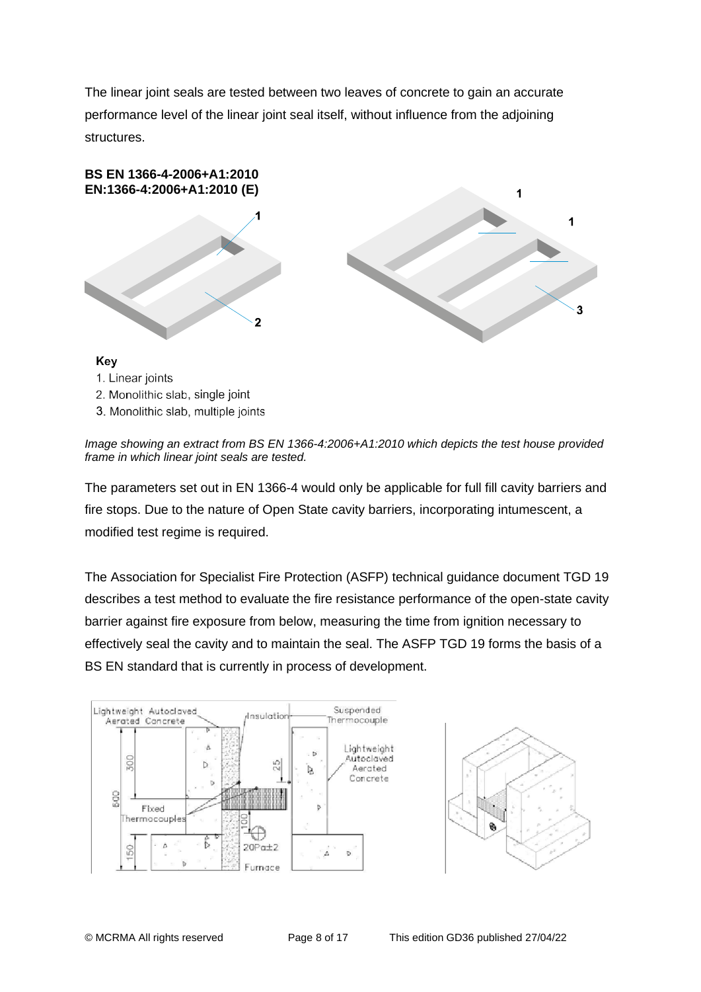The linear joint seals are tested between two leaves of concrete to gain an accurate performance level of the linear joint seal itself, without influence from the adjoining structures.



- 2. Monolithic slab, single joint
- 3. Monolithic slab, multiple joints

*Image showing an extract from BS EN 1366-4:2006+A1:2010 which depicts the test house provided frame in which linear joint seals are tested.*

The parameters set out in EN 1366-4 would only be applicable for full fill cavity barriers and fire stops. Due to the nature of Open State cavity barriers, incorporating intumescent, a modified test regime is required.

The Association for Specialist Fire Protection (ASFP) technical guidance document TGD 19 describes a test method to evaluate the fire resistance performance of the open-state cavity barrier against fire exposure from below, measuring the time from ignition necessary to effectively seal the cavity and to maintain the seal. The ASFP TGD 19 forms the basis of a BS EN standard that is currently in process of development.



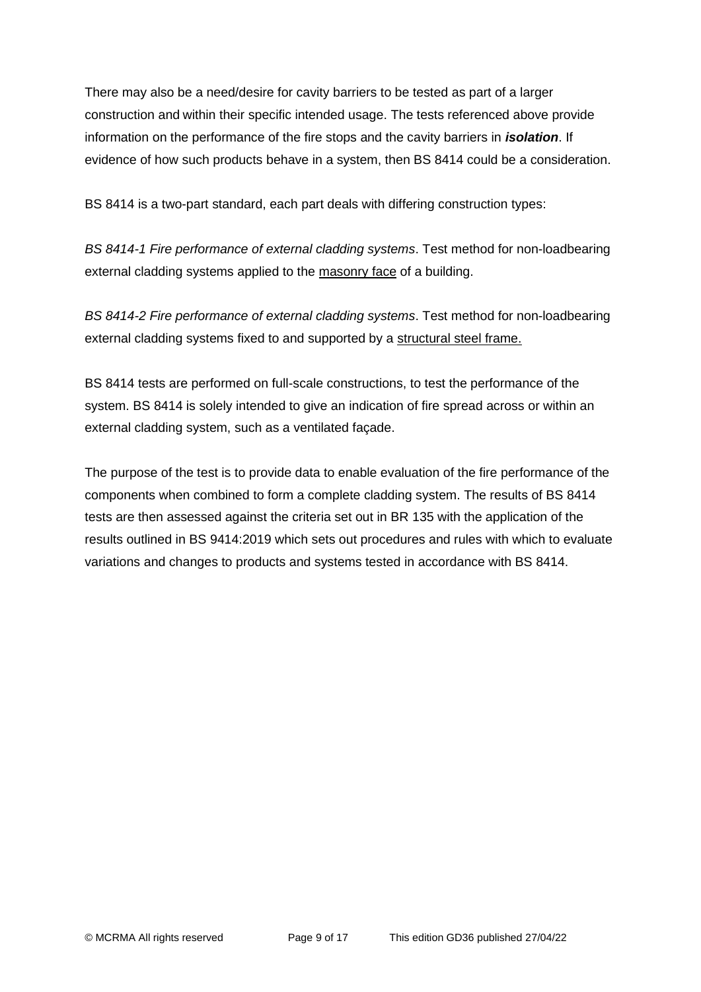There may also be a need/desire for cavity barriers to be tested as part of a larger construction and within their specific intended usage. The tests referenced above provide information on the performance of the fire stops and the cavity barriers in *isolation*. If evidence of how such products behave in a system, then BS 8414 could be a consideration.

BS 8414 is a two-part standard, each part deals with differing construction types:

*BS 8414-1 Fire performance of external cladding systems*. Test method for non-loadbearing external cladding systems applied to the masonry face of a building.

*BS 8414-2 Fire performance of external cladding systems*. Test method for non-loadbearing external cladding systems fixed to and supported by a structural steel frame.

BS 8414 tests are performed on full-scale constructions, to test the performance of the system. BS 8414 is solely intended to give an indication of fire spread across or within an external cladding system, such as a ventilated façade.

The purpose of the test is to provide data to enable evaluation of the fire performance of the components when combined to form a complete cladding system. The results of BS 8414 tests are then assessed against the criteria set out in BR 135 with the application of the results outlined in BS 9414:2019 which sets out procedures and rules with which to evaluate variations and changes to products and systems tested in accordance with BS 8414.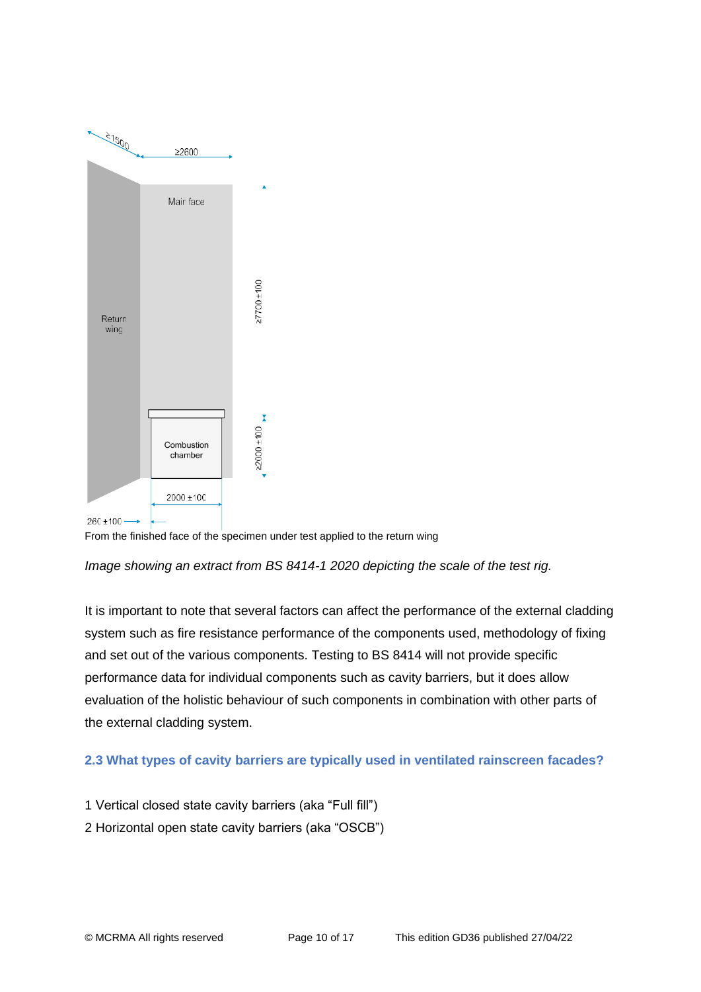

From the finished face of the specimen under test applied to the return wing

*Image showing an extract from BS 8414-1 2020 depicting the scale of the test rig.*

It is important to note that several factors can affect the performance of the external cladding system such as fire resistance performance of the components used, methodology of fixing and set out of the various components. Testing to BS 8414 will not provide specific performance data for individual components such as cavity barriers, but it does allow evaluation of the holistic behaviour of such components in combination with other parts of the external cladding system.

## **2.3 What types of cavity barriers are typically used in ventilated rainscreen facades?**

1 Vertical closed state cavity barriers (aka "Full fill")

2 Horizontal open state cavity barriers (aka "OSCB")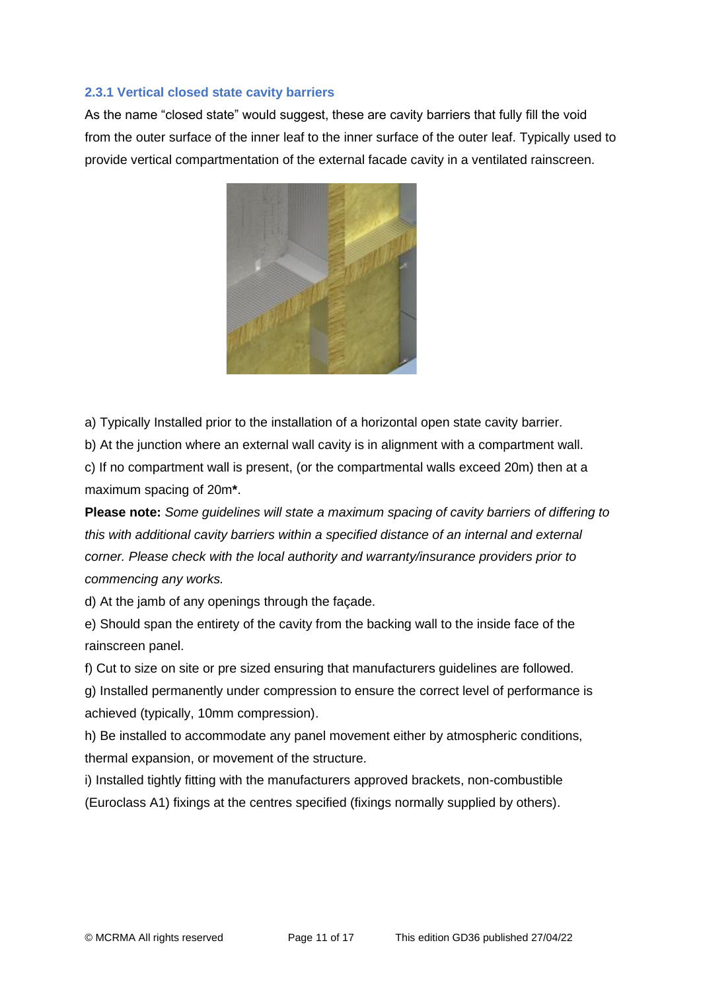### **2.3.1 Vertical closed state cavity barriers**

As the name "closed state" would suggest, these are cavity barriers that fully fill the void from the outer surface of the inner leaf to the inner surface of the outer leaf. Typically used to provide vertical compartmentation of the external facade cavity in a ventilated rainscreen.



a) Typically Installed prior to the installation of a horizontal open state cavity barrier.

b) At the junction where an external wall cavity is in alignment with a compartment wall.

c) If no compartment wall is present, (or the compartmental walls exceed 20m) then at a maximum spacing of 20m**\***.

**Please note:** *Some guidelines will state a maximum spacing of cavity barriers of differing to this with additional cavity barriers within a specified distance of an internal and external corner. Please check with the local authority and warranty/insurance providers prior to commencing any works.*

d) At the jamb of any openings through the façade.

e) Should span the entirety of the cavity from the backing wall to the inside face of the rainscreen panel.

f) Cut to size on site or pre sized ensuring that manufacturers guidelines are followed. g) Installed permanently under compression to ensure the correct level of performance is achieved (typically, 10mm compression).

h) Be installed to accommodate any panel movement either by atmospheric conditions, thermal expansion, or movement of the structure.

i) Installed tightly fitting with the manufacturers approved brackets, non-combustible (Euroclass A1) fixings at the centres specified (fixings normally supplied by others).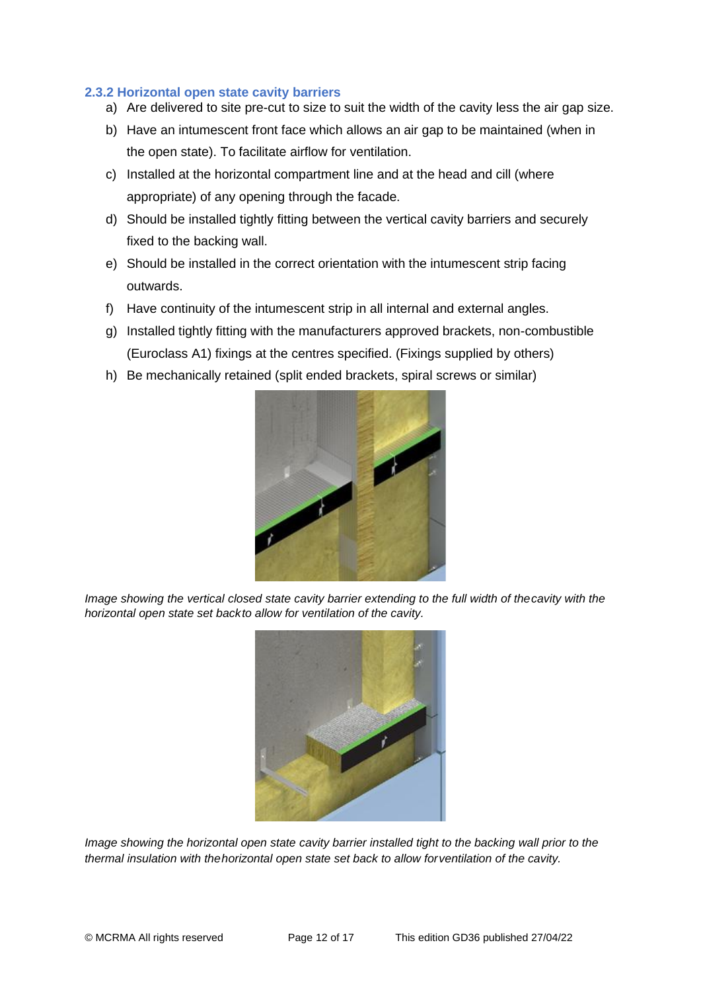### **2.3.2 Horizontal open state cavity barriers**

- a) Are delivered to site pre-cut to size to suit the width of the cavity less the air gap size.
- b) Have an intumescent front face which allows an air gap to be maintained (when in the open state). To facilitate airflow for ventilation.
- c) Installed at the horizontal compartment line and at the head and cill (where appropriate) of any opening through the facade.
- d) Should be installed tightly fitting between the vertical cavity barriers and securely fixed to the backing wall.
- e) Should be installed in the correct orientation with the intumescent strip facing outwards.
- f) Have continuity of the intumescent strip in all internal and external angles.
- g) Installed tightly fitting with the manufacturers approved brackets, non-combustible (Euroclass A1) fixings at the centres specified. (Fixings supplied by others)
- h) Be mechanically retained (split ended brackets, spiral screws or similar)



*Image showing the vertical closed state cavity barrier extending to the full width of thecavity with the horizontal open state set backto allow for ventilation of the cavity.*



*Image showing the horizontal open state cavity barrier installed tight to the backing wall prior to the thermal insulation with thehorizontal open state set back to allow forventilation of the cavity.*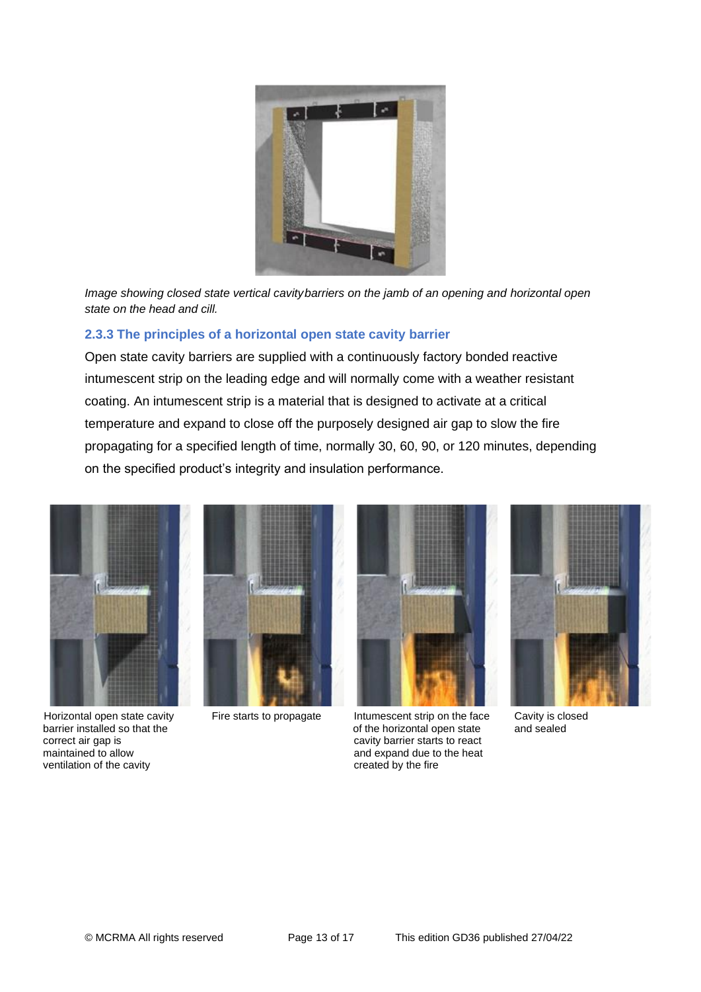

*Image showing closed state vertical cavitybarriers on the jamb of an opening and horizontal open state on the head and cill.*

## **2.3.3 The principles of a horizontal open state cavity barrier**

Open state cavity barriers are supplied with a continuously factory bonded reactive intumescent strip on the leading edge and will normally come with a weather resistant coating. An intumescent strip is a material that is designed to activate at a critical temperature and expand to close off the purposely designed air gap to slow the fire propagating for a specified length of time, normally 30, 60, 90, or 120 minutes, depending on the specified product's integrity and insulation performance.



barrier installed so that the of the horizontal open state correct air gap is and sealed so that the of the horizontal open state cavity barrier starts to react maintained to allow and expand due to the heat ventilation of the cavity and expand due to the heat ventilation of the cavity ventilation of the cavity





Horizontal open state cavity Fire starts to propagate Intumescent strip on the face Cavity is closed<br>barrier installed so that the lorizontal open state and sealed cavity barrier starts to react

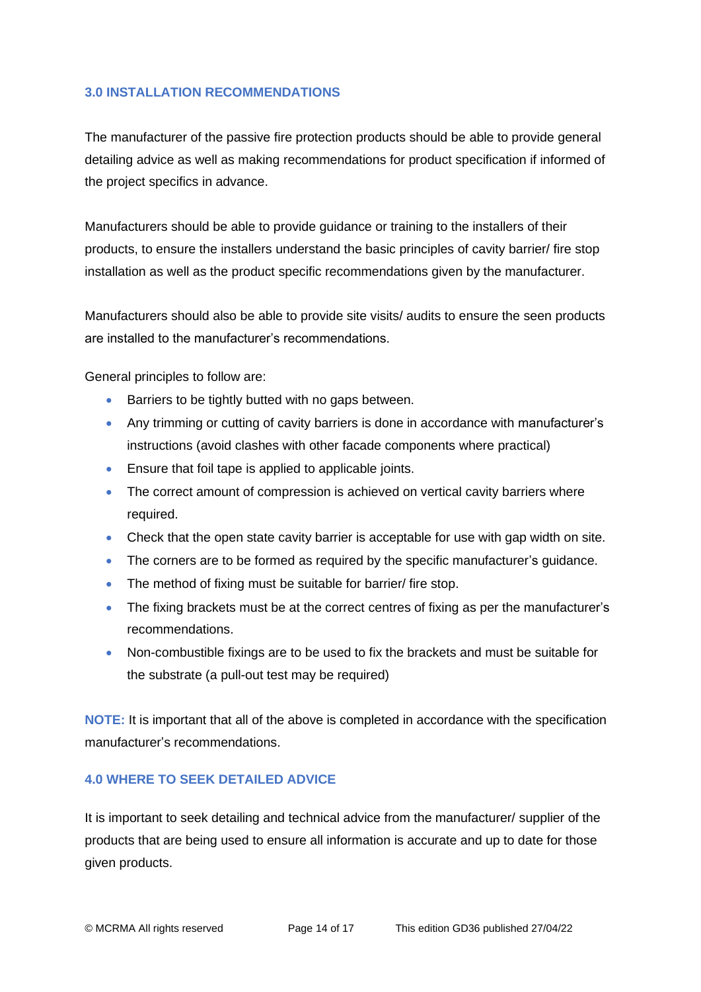### **3.0 INSTALLATION RECOMMENDATIONS**

The manufacturer of the passive fire protection products should be able to provide general detailing advice as well as making recommendations for product specification if informed of the project specifics in advance.

Manufacturers should be able to provide guidance or training to the installers of their products, to ensure the installers understand the basic principles of cavity barrier/ fire stop installation as well as the product specific recommendations given by the manufacturer.

Manufacturers should also be able to provide site visits/ audits to ensure the seen products are installed to the manufacturer's recommendations.

General principles to follow are:

- Barriers to be tightly butted with no gaps between.
- Any trimming or cutting of cavity barriers is done in accordance with manufacturer's instructions (avoid clashes with other facade components where practical)
- Ensure that foil tape is applied to applicable joints.
- The correct amount of compression is achieved on vertical cavity barriers where required.
- Check that the open state cavity barrier is acceptable for use with gap width on site.
- The corners are to be formed as required by the specific manufacturer's guidance.
- The method of fixing must be suitable for barrier/ fire stop.
- The fixing brackets must be at the correct centres of fixing as per the manufacturer's recommendations.
- Non-combustible fixings are to be used to fix the brackets and must be suitable for the substrate (a pull-out test may be required)

**NOTE:** It is important that all of the above is completed in accordance with the specification manufacturer's recommendations.

### **4.0 WHERE TO SEEK DETAILED ADVICE**

It is important to seek detailing and technical advice from the manufacturer/ supplier of the products that are being used to ensure all information is accurate and up to date for those given products.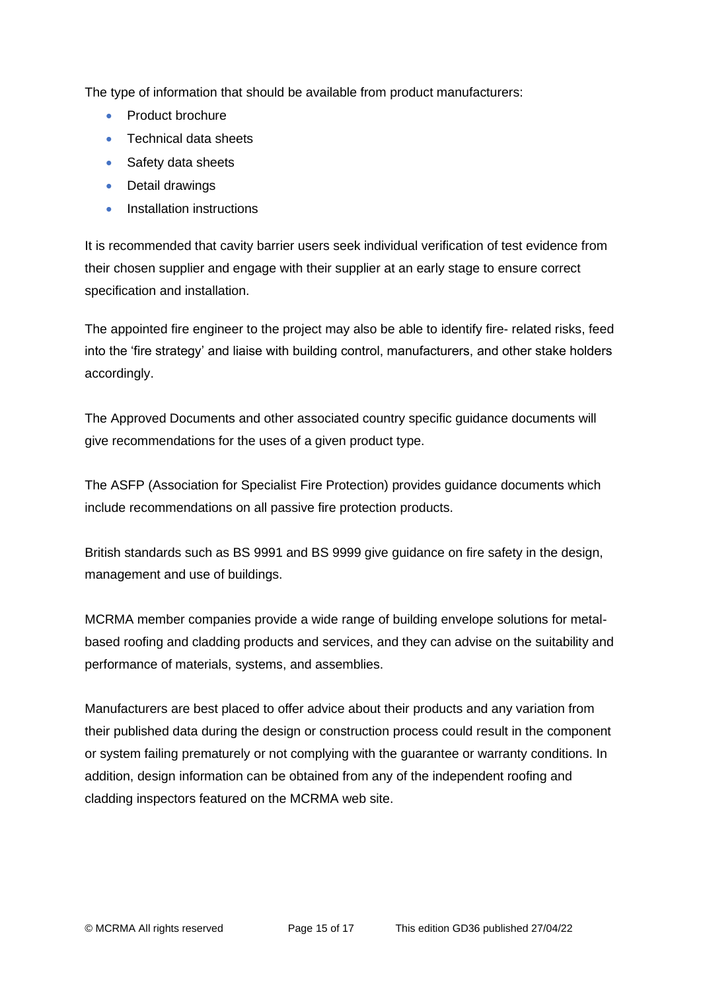The type of information that should be available from product manufacturers:

- Product brochure
- Technical data sheets
- Safety data sheets
- Detail drawings
- Installation instructions

It is recommended that cavity barrier users seek individual verification of test evidence from their chosen supplier and engage with their supplier at an early stage to ensure correct specification and installation.

The appointed fire engineer to the project may also be able to identify fire- related risks, feed into the 'fire strategy' and liaise with building control, manufacturers, and other stake holders accordingly.

The Approved Documents and other associated country specific guidance documents will give recommendations for the uses of a given product type.

The ASFP (Association for Specialist Fire Protection) provides guidance documents which include recommendations on all passive fire protection products.

British standards such as BS 9991 and BS 9999 give guidance on fire safety in the design, management and use of buildings.

MCRMA member companies provide a wide range of building envelope solutions for metalbased roofing and cladding products and services, and they can advise on the suitability and performance of materials, systems, and assemblies.

Manufacturers are best placed to offer advice about their products and any variation from their published data during the design or construction process could result in the component or system failing prematurely or not complying with the guarantee or warranty conditions. In addition, design information can be obtained from any of the independent roofing and cladding inspectors featured on the MCRMA web site.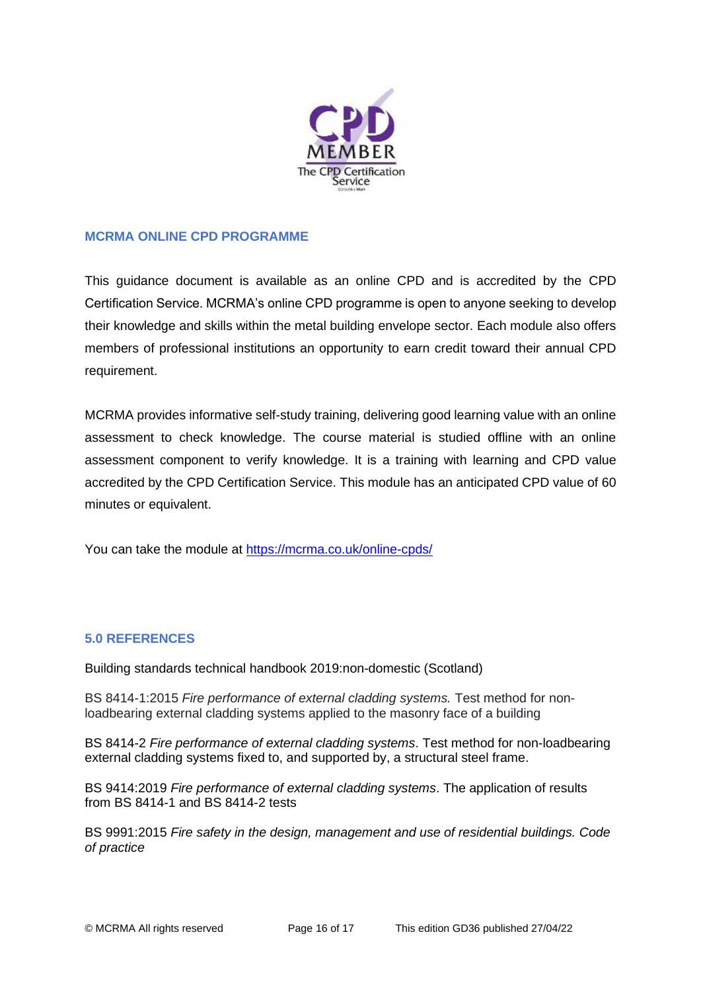

## **MCRMA ONLINE CPD PROGRAMME**

This guidance document is available as an online CPD and is accredited by the CPD Certification Service. MCRMA's online CPD programme is open to anyone seeking to develop their knowledge and skills within the metal building envelope sector. Each module also offers members of professional institutions an opportunity to earn credit toward their annual CPD requirement.

MCRMA provides informative self-study training, delivering good learning value with an online assessment to check knowledge. The course material is studied offline with an online assessment component to verify knowledge. It is a training with learning and CPD value accredited by the CPD Certification Service. This module has an anticipated CPD value of 60 minutes or equivalent.

You can take the module at<https://mcrma.co.uk/online-cpds/>

## **5.0 REFERENCES**

Building standards technical handbook 2019:non-domestic (Scotland)

BS 8414-1:2015 *Fire performance of external cladding systems.* Test method for nonloadbearing external cladding systems applied to the masonry face of a building

BS 8414-2 *Fire performance of external cladding systems*. Test method for non-loadbearing external cladding systems fixed to, and supported by, a structural steel frame.

BS 9414:2019 *Fire performance of external cladding systems*. The application of results from BS 8414-1 and BS 8414-2 tests

BS 9991:2015 *Fire safety in the design, management and use of residential buildings. Code of practice*